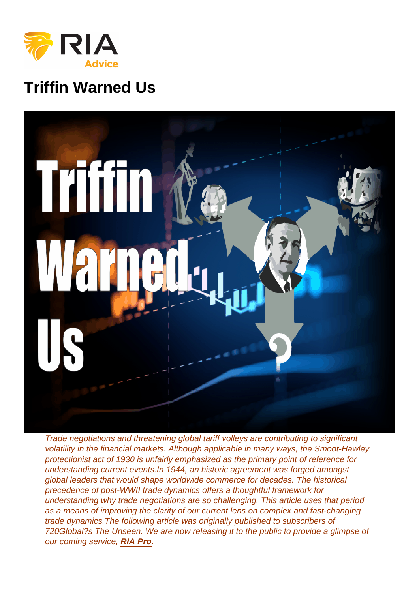# Triffin Warned Us

Trade negotiations and threatening global tariff volleys are contributing to significant volatility in the financial markets. Although applicable in many ways, the Smoot-Hawley protectionist act of 1930 is unfairly emphasized as the primary point of reference for understanding current events.In 1944, an historic agreement was forged amongst global leaders that would shape worldwide commerce for decades. The historical precedence of post-WWII trade dynamics offers a thoughtful framework for understanding why trade negotiations are so challenging. This article uses that period as a means of improving the clarity of our current lens on complex and fast-changing trade dynamics.The following article was originally published to subscribers of 720Global?s The Unseen. We are now releasing it to the public to provide a glimpse of our coming service, [RIA Pro](https://realinvestmentadvice.com/riapro/) .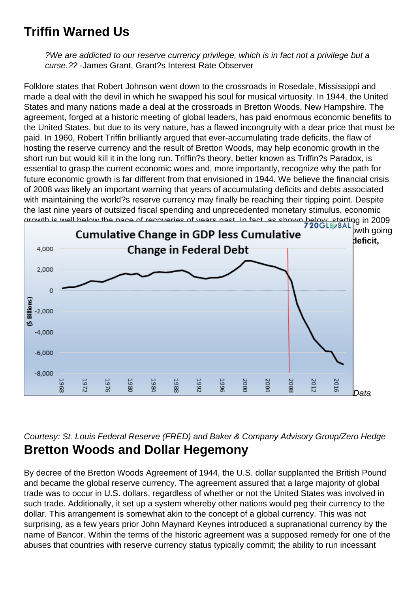## Triffin Warned Us

?We are addicted to our reserve currency privilege, which is in fact not a privilege but a curse.?? -James Grant, Grant?s Interest Rate Observer

Folklore states that Robert Johnson went down to the crossroads in Rosedale, Mississippi and made a deal with the devil in which he swapped his soul for musical virtuosity. In 1944, the United States and many nations made a deal at the crossroads in Bretton Woods, New Hampshire. The agreement, forged at a historic meeting of global leaders, has paid enormous economic benefits to the United States, but due to its very nature, has a flawed incongruity with a dear price that must be paid. In 1960, Robert Triffin brilliantly argued that ever-accumulating trade deficits, the flaw of hosting the reserve currency and the result of Bretton Woods, may help economic growth in the short run but would kill it in the long run. Triffin?s theory, better known as Triffin?s Paradox, is essential to grasp the current economic woes and, more importantly, recognize why the path for future economic growth is far different from that envisioned in 1944. We believe the financial crisis of 2008 was likely an important warning that years of accumulating deficits and debts associated with maintaining the world?s reserve currency may finally be reaching their tipping point. Despite the last nine years of outsized fiscal spending and unprecedented monetary stimulus, economic growth is well below the pace of recoveries of years past. In fact, as shown below, starting in 2009 [the cumulative amount of new federal debt surpassed the cumulative amount of GDP gro](https://realinvestmentadvice.com/wp-content/uploads/2018/04/1-gdp-less-debt.png)wth going back to 1967. Said differently, if it were not for a significant and consistent federal deficit, GDP would have been negative every year since the 2008 financial crisis.??

Data

#### Courtesy: St. Louis Federal Reserve (FRED) and Baker & Company Advisory Group/Zero Hedge Bretton Woods and Dollar Hegemony

By decree of the Bretton Woods Agreement of 1944, the U.S. dollar supplanted the British Pound and became the global reserve currency. The agreement assured that a large majority of global trade was to occur in U.S. dollars, regardless of whether or not the United States was involved in such trade. Additionally, it set up a system whereby other nations would peg their currency to the dollar. This arrangement is somewhat akin to the concept of a global currency. This was not surprising, as a few years prior John Maynard Keynes introduced a supranational currency by the name of Bancor. Within the terms of the historic agreement was a supposed remedy for one of the abuses that countries with reserve currency status typically commit; the ability to run incessant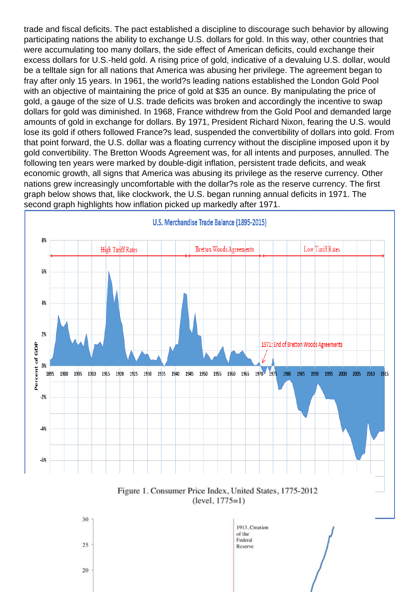trade and fiscal deficits. The pact established a discipline to discourage such behavior by allowing participating nations the ability to exchange U.S. dollars for gold. In this way, other countries that were accumulating too many dollars, the side effect of American deficits, could exchange their excess dollars for U.S.-held gold. A rising price of gold, indicative of a devaluing U.S. dollar, would be a telltale sign for all nations that America was abusing her privilege. The agreement began to fray after only 15 years. In 1961, the world?s leading nations established the London Gold Pool with an objective of maintaining the price of gold at \$35 an ounce. By manipulating the price of gold, a gauge of the size of U.S. trade deficits was broken and accordingly the incentive to swap dollars for gold was diminished. In 1968, France withdrew from the Gold Pool and demanded large amounts of gold in exchange for dollars. By 1971, President Richard Nixon, fearing the U.S. would lose its gold if others followed France?s lead, suspended the convertibility of dollars into gold. From that point forward, the U.S. dollar was a floating currency without the discipline imposed upon it by gold convertibility. The Bretton Woods Agreement was, for all intents and purposes, annulled. The following ten years were marked by double-digit inflation, persistent trade deficits, and weak economic growth, all signs that America was abusing its privilege as the reserve currency. Other nations grew increasingly uncomfortable with the dollar?s role as the reserve currency. The first graph below shows that, like clockwork, the U.S. began running annual deficits in 1971. The second graph highlights how inflation picked up markedly after 1971.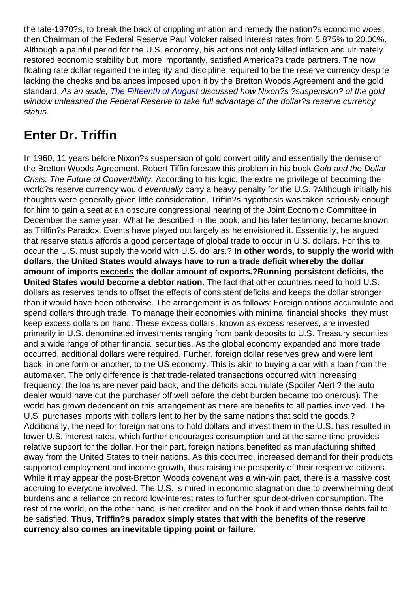the late-1970?s, to break the back of crippling inflation and remedy the nation?s economic woes, then Chairman of the Federal Reserve Paul Volcker raised interest rates from 5.875% to 20.00%. Although a painful period for the U.S. economy, his actions not only killed inflation and ultimately restored economic stability but, more importantly, satisfied America?s trade partners. The now floating rate dollar regained the integrity and discipline required to be the reserve currency despite lacking the checks and balances imposed upon it by the Bretton Woods Agreement and the gold standard. As an aside, [The Fifteenth of August](https://realinvestmentadvice.com/the-fifteenth-of-august/) discussed how Nixon?s ?suspension? of the gold window unleashed the Federal Reserve to take full advantage of the dollar?s reserve currency status.

# Enter Dr. Triffin

In 1960, 11 years before Nixon?s suspension of gold convertibility and essentially the demise of the Bretton Woods Agreement, Robert Tiffin foresaw this problem in his book Gold and the Dollar Crisis: The Future of Convertibility. According to his logic, the extreme privilege of becoming the world?s reserve currency would eventually carry a heavy penalty for the U.S. ?Although initially his thoughts were generally given little consideration, Triffin?s hypothesis was taken seriously enough for him to gain a seat at an obscure congressional hearing of the Joint Economic Committee in December the same year. What he described in the book, and his later testimony, became known as Triffin?s Paradox. Events have played out largely as he envisioned it. Essentially, he argued that reserve status affords a good percentage of global trade to occur in U.S. dollars. For this to occur the U.S. must supply the world with U.S. dollars.? In other words, to supply the world with dollars, the United States would always have to run a trade deficit whereby the dollar amount of imports exceeds the dollar amount of exports. ?Running persistent deficits, the United States would become a debtor nation . The fact that other countries need to hold U.S. dollars as reserves tends to offset the effects of consistent deficits and keeps the dollar stronger than it would have been otherwise. The arrangement is as follows: Foreign nations accumulate and spend dollars through trade. To manage their economies with minimal financial shocks, they must keep excess dollars on hand. These excess dollars, known as excess reserves, are invested primarily in U.S. denominated investments ranging from bank deposits to U.S. Treasury securities and a wide range of other financial securities. As the global economy expanded and more trade occurred, additional dollars were required. Further, foreign dollar reserves grew and were lent back, in one form or another, to the US economy. This is akin to buying a car with a loan from the automaker. The only difference is that trade-related transactions occurred with increasing frequency, the loans are never paid back, and the deficits accumulate (Spoiler Alert ? the auto dealer would have cut the purchaser off well before the debt burden became too onerous). The world has grown dependent on this arrangement as there are benefits to all parties involved. The U.S. purchases imports with dollars lent to her by the same nations that sold the goods.? Additionally, the need for foreign nations to hold dollars and invest them in the U.S. has resulted in lower U.S. interest rates, which further encourages consumption and at the same time provides relative support for the dollar. For their part, foreign nations benefited as manufacturing shifted away from the United States to their nations. As this occurred, increased demand for their products supported employment and income growth, thus raising the prosperity of their respective citizens. While it may appear the post-Bretton Woods covenant was a win-win pact, there is a massive cost accruing to everyone involved. The U.S. is mired in economic stagnation due to overwhelming debt burdens and a reliance on record low-interest rates to further spur debt-driven consumption. The rest of the world, on the other hand, is her creditor and on the hook if and when those debts fail to be satisfied. Thus, Triffin?s paradox simply states that with the benefits of the reserve currency also comes an inevitable tipping point or failure.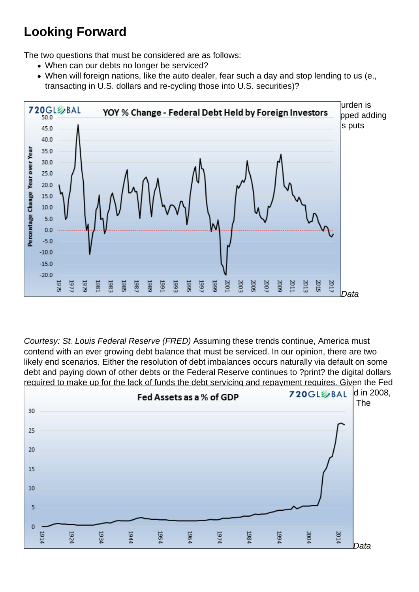## Looking Forward

The two questions that must be considered are as follows:

- When can our debts no longer be serviced?
- When will foreign nations, like the auto dealer, fear such a day and stop lending to us (e., transacting in U.S. dollars and re-cycling those into U.S. securities)?

It is very likely the Great Financial Crisis of 2008 was an omen that America?s debt burden is [unsustainable. Further troubling, as shown below, foreign investors have not only stop](https://realinvestmentadvice.com/wp-content/uploads/2018/04/4-debt-by-foreign-investors.png)ped adding to their U.S. investments of federal debt but have recently begun reducing them.? This puts additional pressure on the Federal Reserve to make up for this funding gap.

Data

Courtesy: St. Louis Federal Reserve (FRED) Assuming these trends continue, America must contend with an ever growing debt balance that must be serviced. In our opinion, there are two likely end scenarios. Either the resolution of debt imbalances occurs naturally via default on some debt and paying down of other debts or the Federal Reserve continues to ?print? the digital dollars required to make up for the lack of funds the debt servicing and repayment requires. Given the Fed [has already printed approximately \\$4 trillion to arrest the slight deleveraging that occurre](https://realinvestmentadvice.com/wp-content/uploads/2018/04/5-debt-as-assets.png)d in 2008, it does not take much imagination to expect this to be their modus operandi in the future. The following graph helps put the scale of money printing in proper historical context.